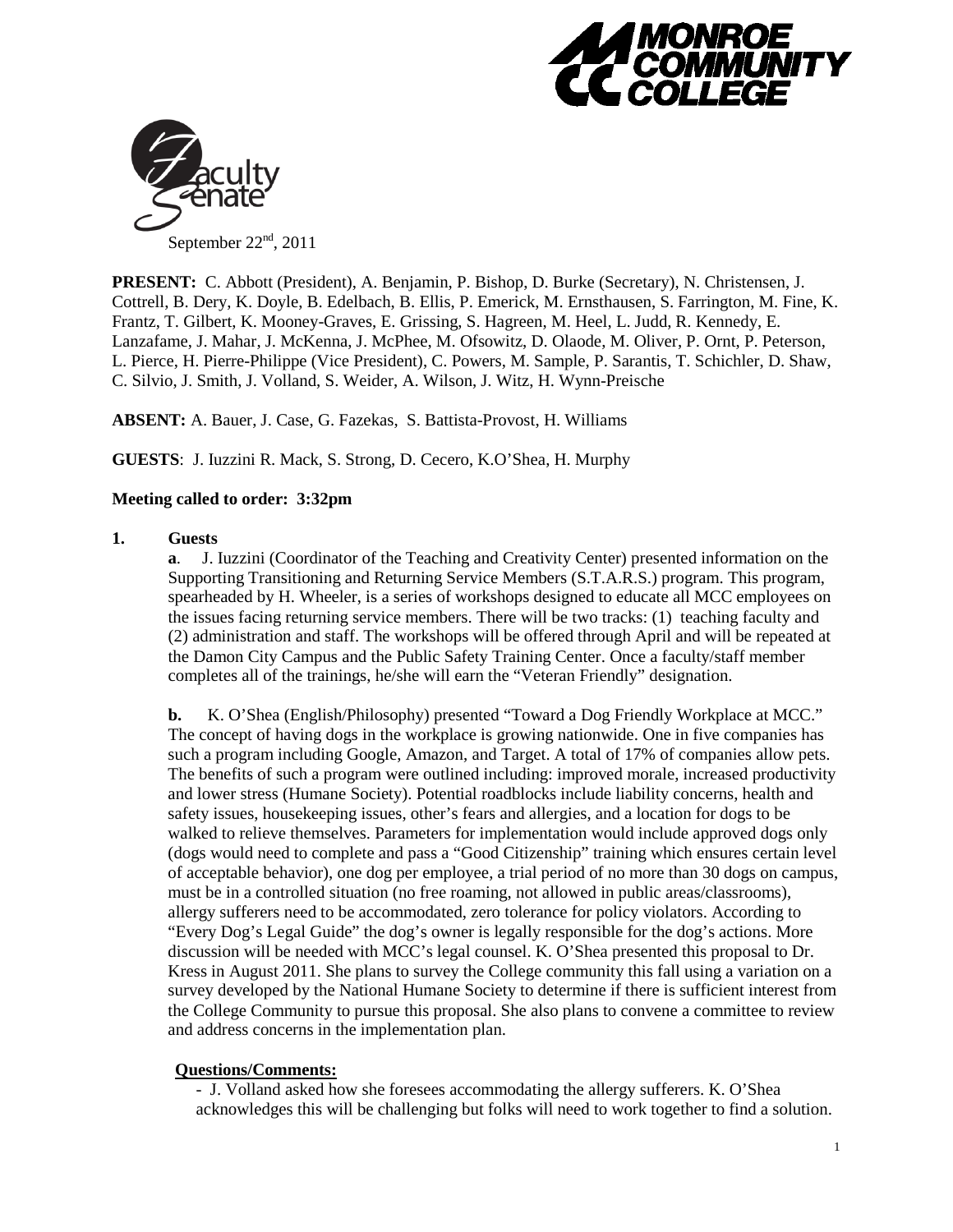



**PRESENT:** C. Abbott (President), A. Benjamin, P. Bishop, D. Burke (Secretary), N. Christensen, J. Cottrell, B. Dery, K. Doyle, B. Edelbach, B. Ellis, P. Emerick, M. Ernsthausen, S. Farrington, M. Fine, K. Frantz, T. Gilbert, K. Mooney-Graves, E. Grissing, S. Hagreen, M. Heel, L. Judd, R. Kennedy, E. Lanzafame, J. Mahar, J. McKenna, J. McPhee, M. Ofsowitz, D. Olaode, M. Oliver, P. Ornt, P. Peterson, L. Pierce, H. Pierre-Philippe (Vice President), C. Powers, M. Sample, P. Sarantis, T. Schichler, D. Shaw, C. Silvio, J. Smith, J. Volland, S. Weider, A. Wilson, J. Witz, H. Wynn-Preische

**ABSENT:** A. Bauer, J. Case, G. Fazekas, S. Battista-Provost, H. Williams

**GUESTS**: J. Iuzzini R. Mack, S. Strong, D. Cecero, K.O'Shea, H. Murphy

## **Meeting called to order: 3:32pm**

#### **1. Guests**

**a**. J. Iuzzini (Coordinator of the Teaching and Creativity Center) presented information on the Supporting Transitioning and Returning Service Members (S.T.A.R.S.) program. This program, spearheaded by H. Wheeler, is a series of workshops designed to educate all MCC employees on the issues facing returning service members. There will be two tracks: (1) teaching faculty and (2) administration and staff. The workshops will be offered through April and will be repeated at the Damon City Campus and the Public Safety Training Center. Once a faculty/staff member completes all of the trainings, he/she will earn the "Veteran Friendly" designation.

**b.** K. O'Shea (English/Philosophy) presented "Toward a Dog Friendly Workplace at MCC." The concept of having dogs in the workplace is growing nationwide. One in five companies has such a program including Google, Amazon, and Target. A total of 17% of companies allow pets. The benefits of such a program were outlined including: improved morale, increased productivity and lower stress (Humane Society). Potential roadblocks include liability concerns, health and safety issues, housekeeping issues, other's fears and allergies, and a location for dogs to be walked to relieve themselves. Parameters for implementation would include approved dogs only (dogs would need to complete and pass a "Good Citizenship" training which ensures certain level of acceptable behavior), one dog per employee, a trial period of no more than 30 dogs on campus, must be in a controlled situation (no free roaming, not allowed in public areas/classrooms), allergy sufferers need to be accommodated, zero tolerance for policy violators. According to "Every Dog's Legal Guide" the dog's owner is legally responsible for the dog's actions. More discussion will be needed with MCC's legal counsel. K. O'Shea presented this proposal to Dr. Kress in August 2011. She plans to survey the College community this fall using a variation on a survey developed by the National Humane Society to determine if there is sufficient interest from the College Community to pursue this proposal. She also plans to convene a committee to review and address concerns in the implementation plan.

## **Questions/Comments:**

- J. Volland asked how she foresees accommodating the allergy sufferers. K. O'Shea acknowledges this will be challenging but folks will need to work together to find a solution.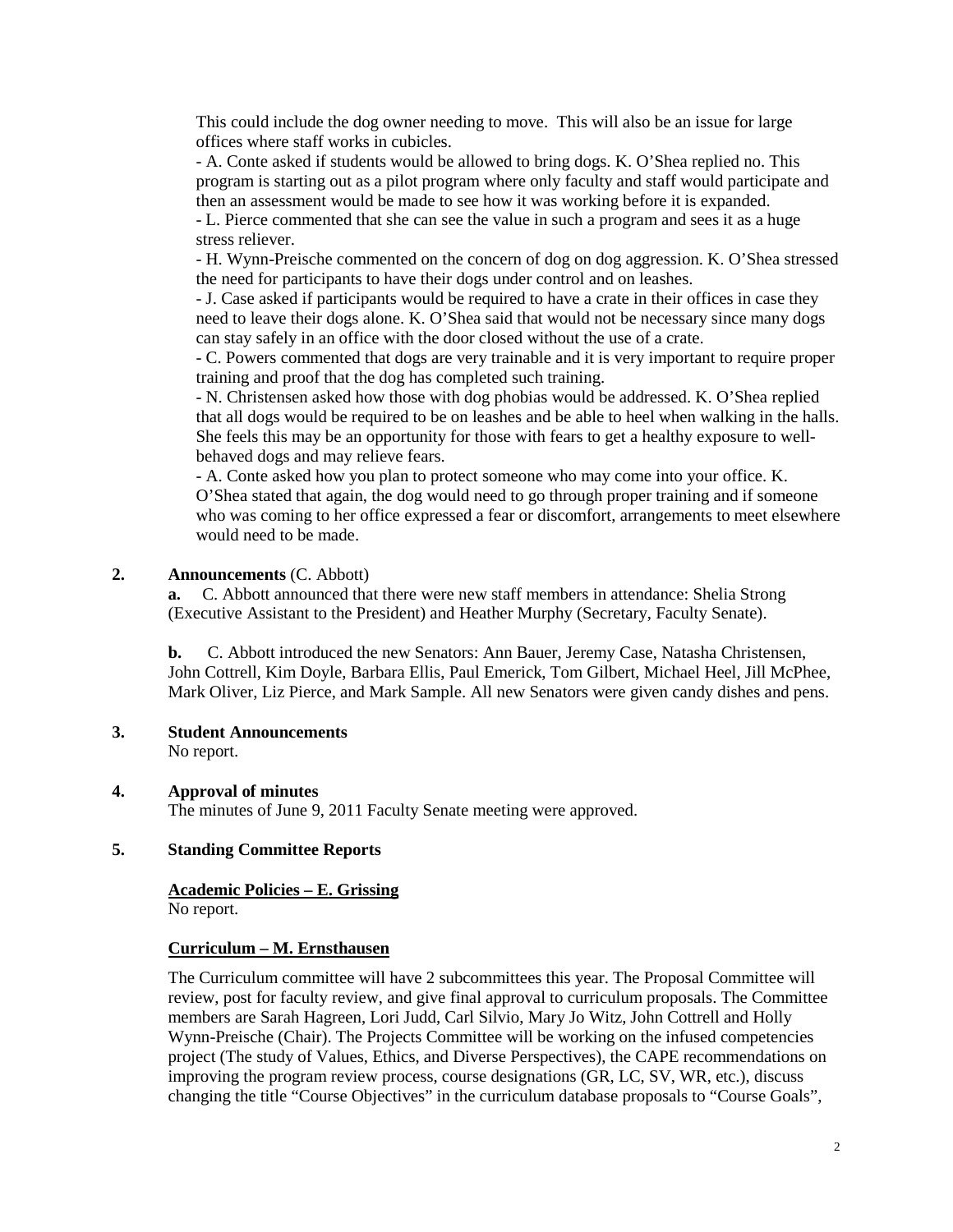This could include the dog owner needing to move. This will also be an issue for large offices where staff works in cubicles.

- A. Conte asked if students would be allowed to bring dogs. K. O'Shea replied no. This program is starting out as a pilot program where only faculty and staff would participate and then an assessment would be made to see how it was working before it is expanded.

- L. Pierce commented that she can see the value in such a program and sees it as a huge stress reliever.

- H. Wynn-Preische commented on the concern of dog on dog aggression. K. O'Shea stressed the need for participants to have their dogs under control and on leashes.

- J. Case asked if participants would be required to have a crate in their offices in case they need to leave their dogs alone. K. O'Shea said that would not be necessary since many dogs can stay safely in an office with the door closed without the use of a crate.

- C. Powers commented that dogs are very trainable and it is very important to require proper training and proof that the dog has completed such training.

- N. Christensen asked how those with dog phobias would be addressed. K. O'Shea replied that all dogs would be required to be on leashes and be able to heel when walking in the halls. She feels this may be an opportunity for those with fears to get a healthy exposure to wellbehaved dogs and may relieve fears.

- A. Conte asked how you plan to protect someone who may come into your office. K. O'Shea stated that again, the dog would need to go through proper training and if someone who was coming to her office expressed a fear or discomfort, arrangements to meet elsewhere would need to be made.

## **2. Announcements** (C. Abbott)

**a.** C. Abbott announced that there were new staff members in attendance: Shelia Strong (Executive Assistant to the President) and Heather Murphy (Secretary, Faculty Senate).

**b.** C. Abbott introduced the new Senators: Ann Bauer, Jeremy Case, Natasha Christensen, John Cottrell, Kim Doyle, Barbara Ellis, Paul Emerick, Tom Gilbert, Michael Heel, Jill McPhee, Mark Oliver, Liz Pierce, and Mark Sample. All new Senators were given candy dishes and pens.

**3. Student Announcements**

No report.

**4. Approval of minutes** The minutes of June 9, 2011 Faculty Senate meeting were approved.

## **5. Standing Committee Reports**

# **Academic Policies – E. Grissing**

No report.

# **Curriculum – M. Ernsthausen**

The Curriculum committee will have 2 subcommittees this year. The Proposal Committee will review, post for faculty review, and give final approval to curriculum proposals. The Committee members are Sarah Hagreen, Lori Judd, Carl Silvio, Mary Jo Witz, John Cottrell and Holly Wynn-Preische (Chair). The Projects Committee will be working on the infused competencies project (The study of Values, Ethics, and Diverse Perspectives), the CAPE recommendations on improving the program review process, course designations (GR, LC, SV, WR, etc.), discuss changing the title "Course Objectives" in the curriculum database proposals to "Course Goals",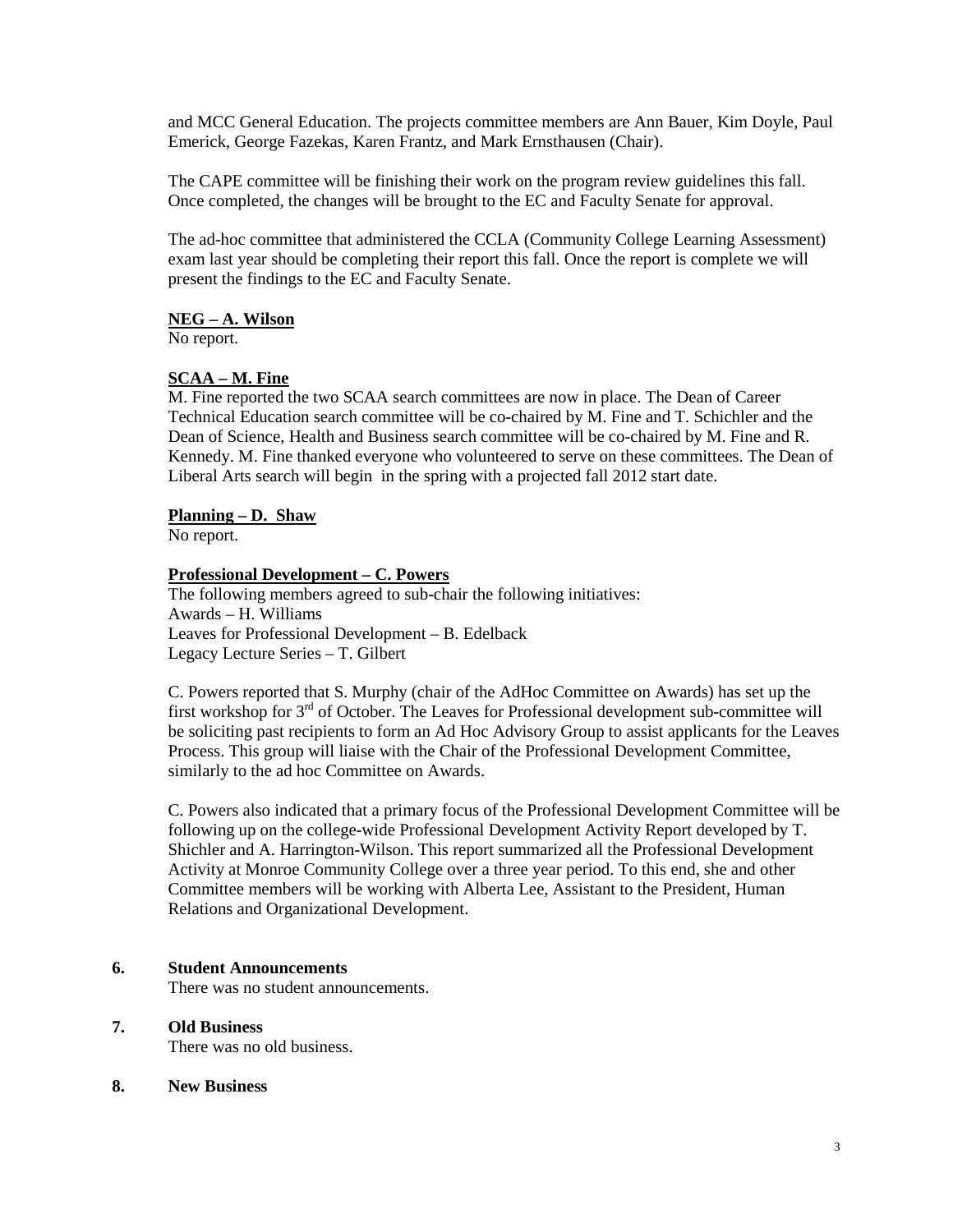and MCC General Education. The projects committee members are Ann Bauer, Kim Doyle, Paul Emerick, George Fazekas, Karen Frantz, and Mark Ernsthausen (Chair).

The CAPE committee will be finishing their work on the program review guidelines this fall. Once completed, the changes will be brought to the EC and Faculty Senate for approval.

The ad-hoc committee that administered the CCLA (Community College Learning Assessment) exam last year should be completing their report this fall. Once the report is complete we will present the findings to the EC and Faculty Senate.

#### **NEG – A. Wilson**

No report.

## **SCAA – M. Fine**

M. Fine reported the two SCAA search committees are now in place. The Dean of Career Technical Education search committee will be co-chaired by M. Fine and T. Schichler and the Dean of Science, Health and Business search committee will be co-chaired by M. Fine and R. Kennedy. M. Fine thanked everyone who volunteered to serve on these committees. The Dean of Liberal Arts search will begin in the spring with a projected fall 2012 start date.

## **Planning – D. Shaw**

No report.

#### **Professional Development – C. Powers**

The following members agreed to sub-chair the following initiatives: Awards – H. Williams Leaves for Professional Development – B. Edelback Legacy Lecture Series – T. Gilbert

C. Powers reported that S. Murphy (chair of the AdHoc Committee on Awards) has set up the first workshop for 3<sup>rd</sup> of October. The Leaves for Professional development sub-committee will be soliciting past recipients to form an Ad Hoc Advisory Group to assist applicants for the Leaves Process. This group will liaise with the Chair of the Professional Development Committee, similarly to the ad hoc Committee on Awards.

C. Powers also indicated that a primary focus of the Professional Development Committee will be following up on the college-wide Professional Development Activity Report developed by T. Shichler and A. Harrington-Wilson. This report summarized all the Professional Development Activity at Monroe Community College over a three year period. To this end, she and other Committee members will be working with Alberta Lee, Assistant to the President, Human Relations and Organizational Development.

## **6. Student Announcements**

There was no student announcements.

## **7. Old Business**

There was no old business.

**8. New Business**